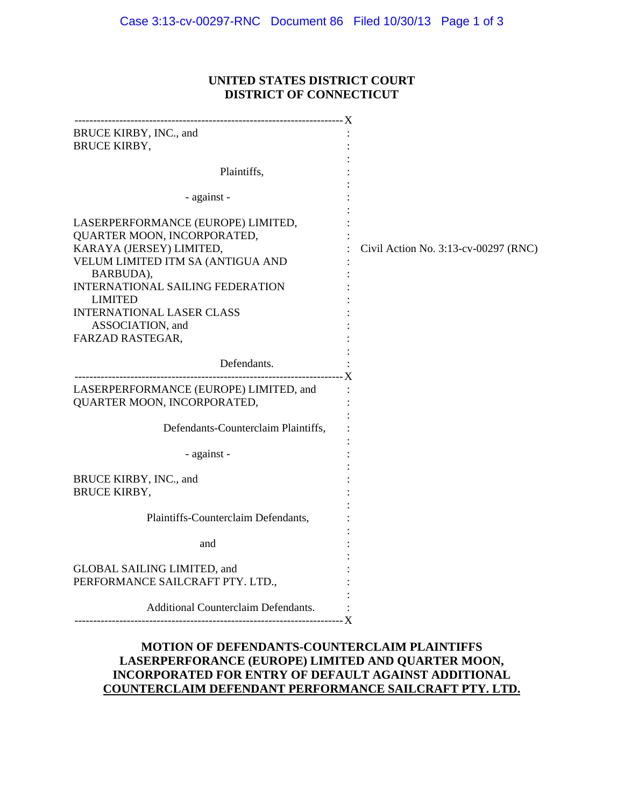## **UNITED STATES DISTRICT COURT DISTRICT OF CONNECTICUT**

| BRUCE KIRBY, INC., and<br><b>BRUCE KIRBY,</b>                                                                                      |                                      |
|------------------------------------------------------------------------------------------------------------------------------------|--------------------------------------|
| Plaintiffs,                                                                                                                        |                                      |
| - against -                                                                                                                        |                                      |
| LASERPERFORMANCE (EUROPE) LIMITED,<br>QUARTER MOON, INCORPORATED,<br>KARAYA (JERSEY) LIMITED,<br>VELUM LIMITED ITM SA (ANTIGUA AND | Civil Action No. 3:13-cv-00297 (RNC) |
| BARBUDA),<br>INTERNATIONAL SAILING FEDERATION<br><b>LIMITED</b>                                                                    |                                      |
| <b>INTERNATIONAL LASER CLASS</b><br>ASSOCIATION, and<br>FARZAD RASTEGAR,                                                           |                                      |
| Defendants.                                                                                                                        |                                      |
| LASERPERFORMANCE (EUROPE) LIMITED, and<br>QUARTER MOON, INCORPORATED,                                                              |                                      |
| Defendants-Counterclaim Plaintiffs,                                                                                                |                                      |
| - against -                                                                                                                        |                                      |
| BRUCE KIRBY, INC., and<br><b>BRUCE KIRBY,</b>                                                                                      |                                      |
| Plaintiffs-Counterclaim Defendants,                                                                                                |                                      |
| and                                                                                                                                |                                      |
| <b>GLOBAL SAILING LIMITED, and</b><br>PERFORMANCE SAILCRAFT PTY. LTD.,                                                             |                                      |
| Additional Counterclaim Defendants.                                                                                                |                                      |
|                                                                                                                                    |                                      |

## **MOTION OF DEFENDANTS-COUNTERCLAIM PLAINTIFFS LASERPERFORANCE (EUROPE) LIMITED AND QUARTER MOON, INCORPORATED FOR ENTRY OF DEFAULT AGAINST ADDITIONAL COUNTERCLAIM DEFENDANT PERFORMANCE SAILCRAFT PTY. LTD.**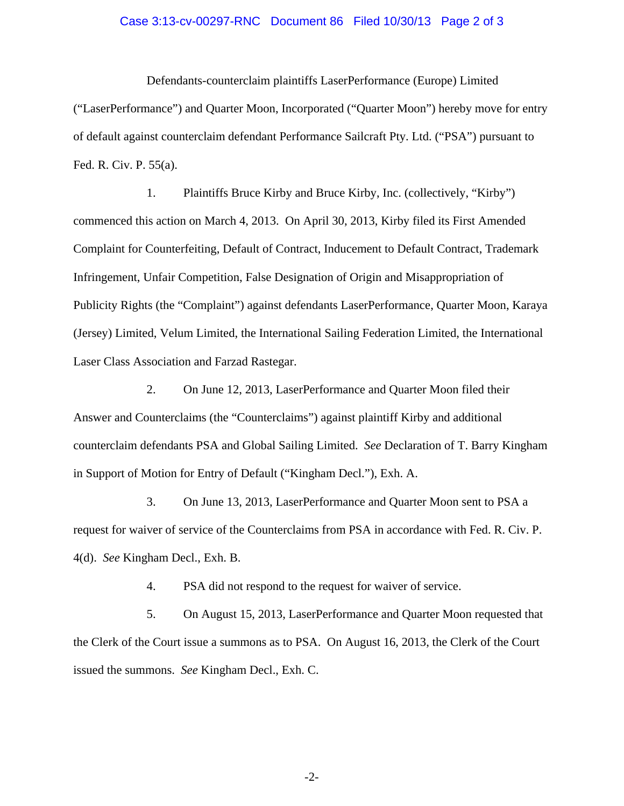## Case 3:13-cv-00297-RNC Document 86 Filed 10/30/13 Page 2 of 3

Defendants-counterclaim plaintiffs LaserPerformance (Europe) Limited ("LaserPerformance") and Quarter Moon, Incorporated ("Quarter Moon") hereby move for entry of default against counterclaim defendant Performance Sailcraft Pty. Ltd. ("PSA") pursuant to Fed. R. Civ. P. 55(a).

1. Plaintiffs Bruce Kirby and Bruce Kirby, Inc. (collectively, "Kirby") commenced this action on March 4, 2013. On April 30, 2013, Kirby filed its First Amended Complaint for Counterfeiting, Default of Contract, Inducement to Default Contract, Trademark Infringement, Unfair Competition, False Designation of Origin and Misappropriation of Publicity Rights (the "Complaint") against defendants LaserPerformance, Quarter Moon, Karaya (Jersey) Limited, Velum Limited, the International Sailing Federation Limited, the International Laser Class Association and Farzad Rastegar.

2. On June 12, 2013, LaserPerformance and Quarter Moon filed their Answer and Counterclaims (the "Counterclaims") against plaintiff Kirby and additional counterclaim defendants PSA and Global Sailing Limited. *See* Declaration of T. Barry Kingham in Support of Motion for Entry of Default ("Kingham Decl."), Exh. A.

3. On June 13, 2013, LaserPerformance and Quarter Moon sent to PSA a request for waiver of service of the Counterclaims from PSA in accordance with Fed. R. Civ. P. 4(d). *See* Kingham Decl., Exh. B.

4. PSA did not respond to the request for waiver of service.

5. On August 15, 2013, LaserPerformance and Quarter Moon requested that the Clerk of the Court issue a summons as to PSA. On August 16, 2013, the Clerk of the Court issued the summons. *See* Kingham Decl., Exh. C.

-2-